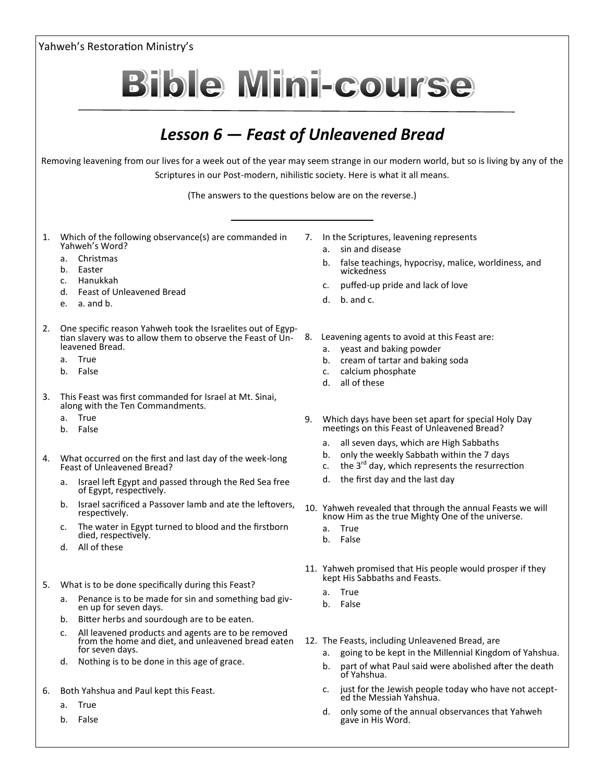Yahweh's Restoration Ministry's **Bible Mini-course** *Lesson 6 — Feast of Unleavened Bread* Removing leavening from our lives for a week out of the year may seem strange in our modern world, but so is living by any of the Scriptures in our Post-modern, nihilistic society. Here is what it all means. (The answers to the questions below are on the reverse.) 1. Which of the following observance(s) are commanded in 7. In the Scriptures, leavening represents Yahweh's Word? a. sin and disease a. Christmas b. false teachings, hypocrisy, malice, worldiness, and b. Easter wickedness c. Hanukkah c. puffed-up pride and lack of love d. Feast of Unleavened Bread d. b. and c. e. a. and b. 2. One specific reason Yahweh took the Israelites out of Egyp-8. Leavening agents to avoid at this Feast are: tian slavery was to allow them to observe the Feast of Unleavened Bread. a. yeast and baking powder a. True b. cream of tartar and baking soda b. False c. calcium phosphate d. all of these 3. This Feast was first commanded for Israel at Mt. Sinai, along with the Ten Commandments. a. True 9. Which days have been set apart for special Holy Day b. False meetings on this Feast of Unleavened Bread? a. all seven days, which are High Sabbaths b. only the weekly Sabbath within the 7 days 4. What occurred on the first and last day of the week-long c. the  $3^{rd}$  day, which represents the resurrection Feast of Unleavened Bread? d. the first day and the last day a. Israel left Egypt and passed through the Red Sea free of Egypt, respectively. b. Israel sacrificed a Passover lamb and ate the leftovers, 10. Yahweh revealed that through the annual Feasts we will respectively. know Him as the true Mighty One of the universe. c. The water in Egypt turned to blood and the firstborn a. True died, respectively. b. False d. All of these 11. Yahweh promised that His people would prosper if they kept His Sabbaths and Feasts. 5. What is to be done specifically during this Feast? a. True a. Penance is to be made for sin and something bad givb. False en up for seven days. b. Bitter herbs and sourdough are to be eaten. c. All leavened products and agents are to be removed from the home and diet, and unleavened bread eaten 12. The Feasts, including Unleavened Bread, are

- d. Nothing is to be done in this age of grace.
- 6. Both Yahshua and Paul kept this Feast.

for seven days.

- a. True
- b. False

c. just for the Jewish people today who have not accepted the Messiah Yahshua.

a. going to be kept in the Millennial Kingdom of Yahshua. b. part of what Paul said were abolished after the death

d. only some of the annual observances that Yahweh gave in His Word.

of Yahshua.